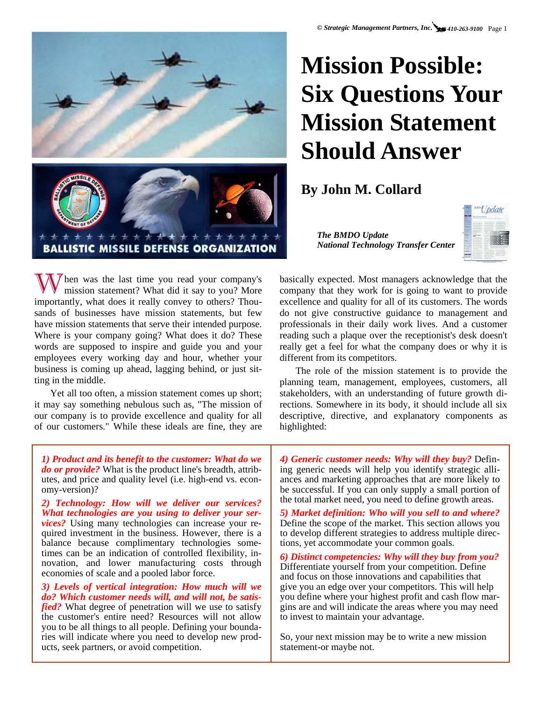**Mission Possible:** 

**Six Questions Your** 

**Mission Statement** 



When was the last time you read your company's mission statement? What did it say to you? More importantly, what does it really convey to others? Thousands of businesses have mission statements, but few have mission statements that serve their intended purpose. Where is your company going? What does it do? These words are supposed to inspire and guide you and your employees every working day and hour, whether your business is coming up ahead, lagging behind, or just sitting in the middle.

Yet all too often, a mission statement comes up short; it may say something nebulous such as, "The mission of our company is to provide excellence and quality for all of our customers." While these ideals are fine, they are *The BMDO Update National Technology Transfer Center* 

**Should Answer** 

**By John M. Collard** 



basically expected. Most managers acknowledge that the company that they work for is going to want to provide excellence and quality for all of its customers. The words do not give constructive guidance to management and professionals in their daily work lives. And a customer reading such a plaque over the receptionist's desk doesn't really get a feel for what the company does or why it is different from its competitors.

The role of the mission statement is to provide the planning team, management, employees, customers, all stakeholders, with an understanding of future growth directions. Somewhere in its body, it should include all six descriptive, directive, and explanatory components as highlighted:

*1) Product and its benefit to the customer: What do we do or provide?* What is the product line's breadth, attributes, and price and quality level (i.e. high-end vs. economy-version)?

*2) Technology: How will we deliver our services? What technologies are you using to deliver your services?* Using many technologies can increase your required investment in the business. However, there is a balance because complimentary technologies sometimes can be an indication of controlled flexibility, innovation, and lower manufacturing costs through economies of scale and a pooled labor force.

*3) Levels of vertical integration: How much will we do? Which customer needs will, and will not, be satisfied?* What degree of penetration will we use to satisfy the customer's entire need? Resources will not allow

you to be all things to all people. Defining your boundaries will indicate where you need to develop new products, seek partners, or avoid competition.

*4) Generic customer needs: Why will they buy?* Defining generic needs will help you identify strategic alliances and marketing approaches that are more likely to be successful. If you can only supply a small portion of the total market need, you need to define growth areas.

*5) Market definition: Who will you sell to and where?*  Define the scope of the market. This section allows you to develop different strategies to address multiple directions, yet accommodate your common goals.

*6) Distinct competencies: Why will they buy from you?*  Differentiate yourself from your competition. Define and focus on those innovations and capabilities that give you an edge over your competitors. This will help you define where your highest profit and cash flow margins are and will indicate the areas where you may need to invest to maintain your advantage.

So, your next mission may be to write a new mission statement-or maybe not.